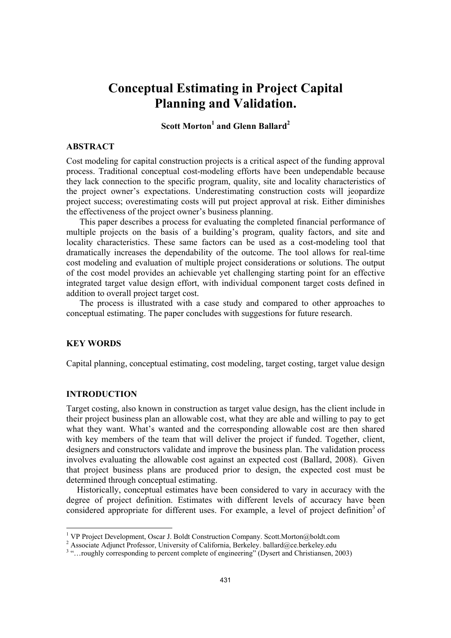# **Conceptual Estimating in Project Capital Planning and Validation.**

# $\mathrm{Scott\,Morton}^{1}$  and Glenn Ballard<sup>2</sup>

## **ABSTRACT**

Cost modeling for capital construction projects is a critical aspect of the funding approval process. Traditional conceptual cost-modeling efforts have been undependable because they lack connection to the specific program, quality, site and locality characteristics of the project owner's expectations. Underestimating construction costs will jeopardize project success; overestimating costs will put project approval at risk. Either diminishes the effectiveness of the project owner's business planning.

 This paper describes a process for evaluating the completed financial performance of multiple projects on the basis of a building's program, quality factors, and site and locality characteristics. These same factors can be used as a cost-modeling tool that dramatically increases the dependability of the outcome. The tool allows for real-time cost modeling and evaluation of multiple project considerations or solutions. The output of the cost model provides an achievable yet challenging starting point for an effective integrated target value design effort, with individual component target costs defined in addition to overall project target cost.

 The process is illustrated with a case study and compared to other approaches to conceptual estimating. The paper concludes with suggestions for future research.

## **KEY WORDS**

Capital planning, conceptual estimating, cost modeling, target costing, target value design

# **INTRODUCTION**

Target costing, also known in construction as target value design, has the client include in their project business plan an allowable cost, what they are able and willing to pay to get what they want. What's wanted and the corresponding allowable cost are then shared with key members of the team that will deliver the project if funded. Together, client, designers and constructors validate and improve the business plan. The validation process involves evaluating the allowable cost against an expected cost (Ballard, 2008). Given that project business plans are produced prior to design, the expected cost must be determined through conceptual estimating.

Historically, conceptual estimates have been considered to vary in accuracy with the degree of project definition. Estimates with different levels of accuracy have been considered appropriate for different uses. For example, a level of project definition<sup>3</sup> of

<sup>&</sup>lt;sup>1</sup> VP Project Development, Oscar J. Boldt Construction Company. Scott.Morton@boldt.com

<sup>&</sup>lt;sup>2</sup> Associate Adjunct Professor, University of California, Berkeley. ballard@ce.berkeley.edu

<sup>&</sup>lt;sup>3</sup> "...roughly corresponding to percent complete of engineering" (Dysert and Christiansen, 2003)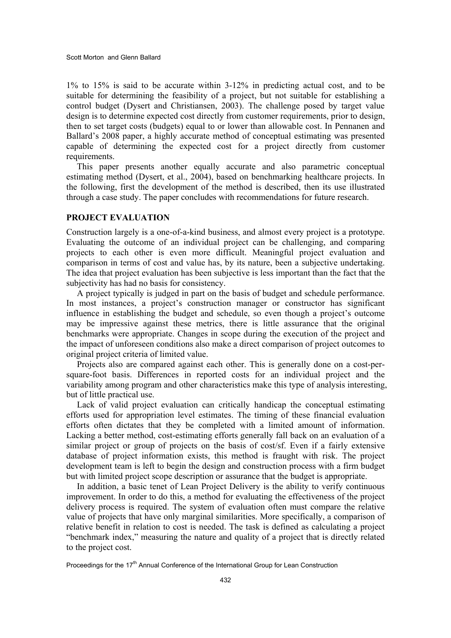1% to 15% is said to be accurate within 3-12% in predicting actual cost, and to be suitable for determining the feasibility of a project, but not suitable for establishing a control budget (Dysert and Christiansen, 2003). The challenge posed by target value design is to determine expected cost directly from customer requirements, prior to design, then to set target costs (budgets) equal to or lower than allowable cost. In Pennanen and Ballard's 2008 paper, a highly accurate method of conceptual estimating was presented capable of determining the expected cost for a project directly from customer requirements.

This paper presents another equally accurate and also parametric conceptual estimating method (Dysert, et al., 2004), based on benchmarking healthcare projects. In the following, first the development of the method is described, then its use illustrated through a case study. The paper concludes with recommendations for future research.

### **PROJECT EVALUATION**

Construction largely is a one-of-a-kind business, and almost every project is a prototype. Evaluating the outcome of an individual project can be challenging, and comparing projects to each other is even more difficult. Meaningful project evaluation and comparison in terms of cost and value has, by its nature, been a subjective undertaking. The idea that project evaluation has been subjective is less important than the fact that the subjectivity has had no basis for consistency.

A project typically is judged in part on the basis of budget and schedule performance. In most instances, a project's construction manager or constructor has significant influence in establishing the budget and schedule, so even though a project's outcome may be impressive against these metrics, there is little assurance that the original benchmarks were appropriate. Changes in scope during the execution of the project and the impact of unforeseen conditions also make a direct comparison of project outcomes to original project criteria of limited value.

Projects also are compared against each other. This is generally done on a cost-persquare-foot basis. Differences in reported costs for an individual project and the variability among program and other characteristics make this type of analysis interesting, but of little practical use.

Lack of valid project evaluation can critically handicap the conceptual estimating efforts used for appropriation level estimates. The timing of these financial evaluation efforts often dictates that they be completed with a limited amount of information. Lacking a better method, cost-estimating efforts generally fall back on an evaluation of a similar project or group of projects on the basis of cost/sf. Even if a fairly extensive database of project information exists, this method is fraught with risk. The project development team is left to begin the design and construction process with a firm budget but with limited project scope description or assurance that the budget is appropriate.

In addition, a basic tenet of Lean Project Delivery is the ability to verify continuous improvement. In order to do this, a method for evaluating the effectiveness of the project delivery process is required. The system of evaluation often must compare the relative value of projects that have only marginal similarities. More specifically, a comparison of relative benefit in relation to cost is needed. The task is defined as calculating a project "benchmark index," measuring the nature and quality of a project that is directly related to the project cost.

Proceedings for the 17<sup>th</sup> Annual Conference of the International Group for Lean Construction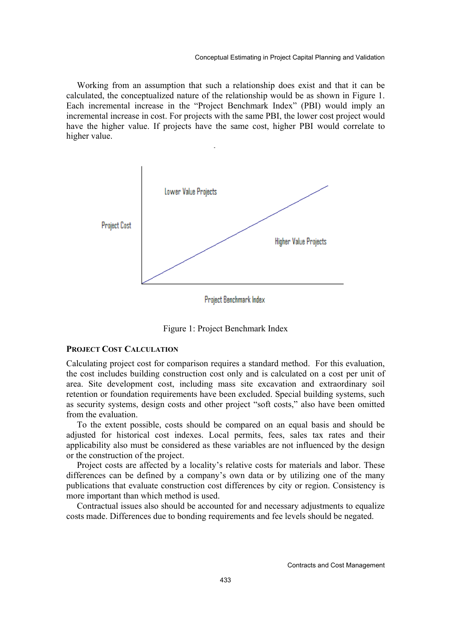Working from an assumption that such a relationship does exist and that it can be calculated, the conceptualized nature of the relationship would be as shown in Figure 1. Each incremental increase in the "Project Benchmark Index" (PBI) would imply an incremental increase in cost. For projects with the same PBI, the lower cost project would have the higher value. If projects have the same cost, higher PBI would correlate to higher value.



Project Benchmark Index

Figure 1: Project Benchmark Index

#### **PROJECT COST CALCULATION**

Calculating project cost for comparison requires a standard method. For this evaluation, the cost includes building construction cost only and is calculated on a cost per unit of area. Site development cost, including mass site excavation and extraordinary soil retention or foundation requirements have been excluded. Special building systems, such as security systems, design costs and other project "soft costs," also have been omitted from the evaluation.

To the extent possible, costs should be compared on an equal basis and should be adjusted for historical cost indexes. Local permits, fees, sales tax rates and their applicability also must be considered as these variables are not influenced by the design or the construction of the project.

Project costs are affected by a locality's relative costs for materials and labor. These differences can be defined by a company's own data or by utilizing one of the many publications that evaluate construction cost differences by city or region. Consistency is more important than which method is used.

Contractual issues also should be accounted for and necessary adjustments to equalize costs made. Differences due to bonding requirements and fee levels should be negated.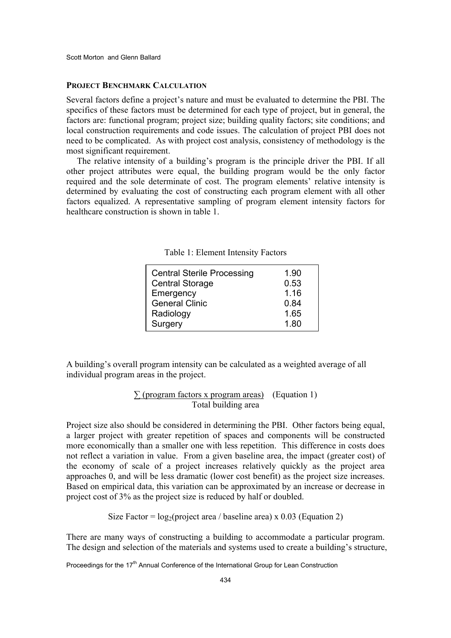Scott Morton and Glenn Ballard

#### **PROJECT BENCHMARK CALCULATION**

Several factors define a project's nature and must be evaluated to determine the PBI. The specifics of these factors must be determined for each type of project, but in general, the factors are: functional program; project size; building quality factors; site conditions; and local construction requirements and code issues. The calculation of project PBI does not need to be complicated. As with project cost analysis, consistency of methodology is the most significant requirement.

The relative intensity of a building's program is the principle driver the PBI. If all other project attributes were equal, the building program would be the only factor required and the sole determinate of cost. The program elements' relative intensity is determined by evaluating the cost of constructing each program element with all other factors equalized. A representative sampling of program element intensity factors for healthcare construction is shown in table 1.

|  |  |  | Table 1: Element Intensity Factors |  |
|--|--|--|------------------------------------|--|
|--|--|--|------------------------------------|--|

| <b>Central Sterile Processing</b> | 1.90 |
|-----------------------------------|------|
| <b>Central Storage</b>            | 0.53 |
| Emergency                         | 1.16 |
| <b>General Clinic</b>             | 0.84 |
| Radiology                         | 1.65 |
| Surgery                           | 1.80 |

A building's overall program intensity can be calculated as a weighted average of all individual program areas in the project.

# $\sum$  (program factors x program areas) (Equation 1) Total building area

Project size also should be considered in determining the PBI. Other factors being equal, a larger project with greater repetition of spaces and components will be constructed more economically than a smaller one with less repetition. This difference in costs does not reflect a variation in value. From a given baseline area, the impact (greater cost) of the economy of scale of a project increases relatively quickly as the project area approaches 0, and will be less dramatic (lower cost benefit) as the project size increases. Based on empirical data, this variation can be approximated by an increase or decrease in project cost of 3% as the project size is reduced by half or doubled.

Size Factor =  $log_2$ (project area / baseline area) x 0.03 (Equation 2)

There are many ways of constructing a building to accommodate a particular program. The design and selection of the materials and systems used to create a building's structure,

Proceedings for the 17<sup>th</sup> Annual Conference of the International Group for Lean Construction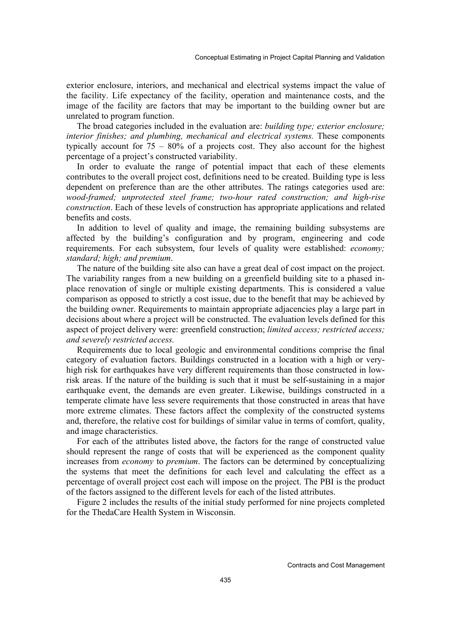exterior enclosure, interiors, and mechanical and electrical systems impact the value of the facility. Life expectancy of the facility, operation and maintenance costs, and the image of the facility are factors that may be important to the building owner but are unrelated to program function.

The broad categories included in the evaluation are: *building type; exterior enclosure; interior finishes; and plumbing, mechanical and electrical systems.* These components typically account for  $75 - 80\%$  of a projects cost. They also account for the highest percentage of a project's constructed variability.

In order to evaluate the range of potential impact that each of these elements contributes to the overall project cost, definitions need to be created. Building type is less dependent on preference than are the other attributes. The ratings categories used are: *wood-framed; unprotected steel frame; two-hour rated construction; and high-rise construction*. Each of these levels of construction has appropriate applications and related benefits and costs.

In addition to level of quality and image, the remaining building subsystems are affected by the building's configuration and by program, engineering and code requirements. For each subsystem, four levels of quality were established: *economy; standard; high; and premium*.

The nature of the building site also can have a great deal of cost impact on the project. The variability ranges from a new building on a greenfield building site to a phased inplace renovation of single or multiple existing departments. This is considered a value comparison as opposed to strictly a cost issue, due to the benefit that may be achieved by the building owner. Requirements to maintain appropriate adjacencies play a large part in decisions about where a project will be constructed. The evaluation levels defined for this aspect of project delivery were: greenfield construction; *limited access; restricted access; and severely restricted access.* 

Requirements due to local geologic and environmental conditions comprise the final category of evaluation factors. Buildings constructed in a location with a high or veryhigh risk for earthquakes have very different requirements than those constructed in lowrisk areas. If the nature of the building is such that it must be self-sustaining in a major earthquake event, the demands are even greater. Likewise, buildings constructed in a temperate climate have less severe requirements that those constructed in areas that have more extreme climates. These factors affect the complexity of the constructed systems and, therefore, the relative cost for buildings of similar value in terms of comfort, quality, and image characteristics.

For each of the attributes listed above, the factors for the range of constructed value should represent the range of costs that will be experienced as the component quality increases from *economy* to *premium*. The factors can be determined by conceptualizing the systems that meet the definitions for each level and calculating the effect as a percentage of overall project cost each will impose on the project. The PBI is the product of the factors assigned to the different levels for each of the listed attributes.

Figure 2 includes the results of the initial study performed for nine projects completed for the ThedaCare Health System in Wisconsin.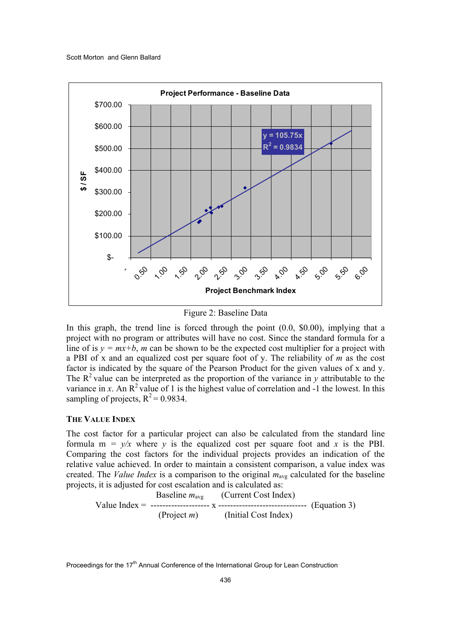

Figure 2: Baseline Data

In this graph, the trend line is forced through the point  $(0.0, \$0.00)$ , implying that a project with no program or attributes will have no cost. Since the standard formula for a line of is  $y = mx+b$ , *m* can be shown to be the expected cost multiplier for a project with a PBI of x and an equalized cost per square foot of y. The reliability of *m* as the cost factor is indicated by the square of the Pearson Product for the given values of x and y. The  $R^2$  value can be interpreted as the proportion of the variance in *y* attributable to the variance in *x*. An  $\mathbb{R}^2$  value of 1 is the highest value of correlation and -1 the lowest. In this sampling of projects,  $R^2$  = 0.9834.

#### **THE VALUE INDEX**

The cost factor for a particular project can also be calculated from the standard line formula  $m = y/x$  where *y* is the equalized cost per square foot and *x* is the PBI. Comparing the cost factors for the individual projects provides an indication of the relative value achieved. In order to maintain a consistent comparison, a value index was created. The *Value Index* is a comparison to the original  $m_{avg}$  calculated for the baseline projects, it is adjusted for cost escalation and is calculated as:

Value Index = 
$$
\frac{\text{Baseline } m_{\text{avg}}}{\text{Project } m}
$$
 (Current Cost Index) (Equation 3) (Project *m*)

Proceedings for the 17<sup>th</sup> Annual Conference of the International Group for Lean Construction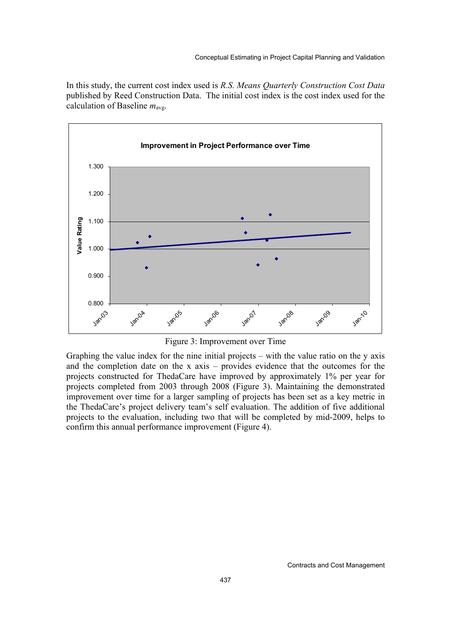In this study, the current cost index used is *R.S. Means Quarterly Construction Cost Data* published by Reed Construction Data. The initial cost index is the cost index used for the calculation of Baseline  $m_{\text{av}}$ .



Figure 3: Improvement over Time

Graphing the value index for the nine initial projects – with the value ratio on the y axis and the completion date on the x axis – provides evidence that the outcomes for the projects constructed for ThedaCare have improved by approximately 1% per year for projects completed from 2003 through 2008 (Figure 3). Maintaining the demonstrated improvement over time for a larger sampling of projects has been set as a key metric in the ThedaCare's project delivery team's self evaluation. The addition of five additional projects to the evaluation, including two that will be completed by mid-2009, helps to confirm this annual performance improvement (Figure 4).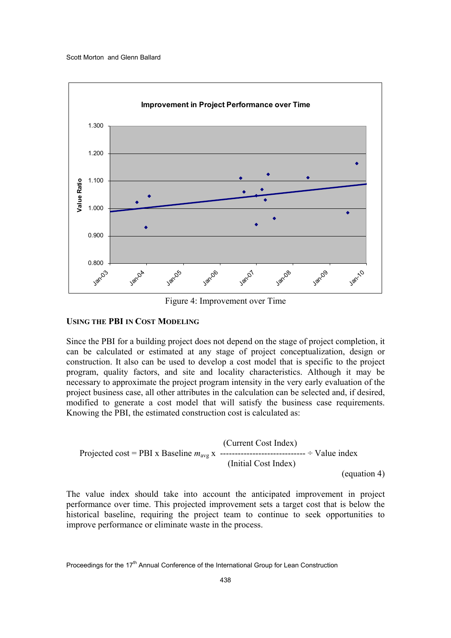

Figure 4: Improvement over Time

## **USING THE PBI IN COST MODELING**

Since the PBI for a building project does not depend on the stage of project completion, it can be calculated or estimated at any stage of project conceptualization, design or construction. It also can be used to develop a cost model that is specific to the project program, quality factors, and site and locality characteristics. Although it may be necessary to approximate the project program intensity in the very early evaluation of the project business case, all other attributes in the calculation can be selected and, if desired, modified to generate a cost model that will satisfy the business case requirements. Knowing the PBI, the estimated construction cost is calculated as:

 (Current Cost Index) Projected cost = PBI x Baseline *m*avg x ----------------------------- ÷ Value index (Initial Cost Index) (equation 4)

The value index should take into account the anticipated improvement in project performance over time. This projected improvement sets a target cost that is below the historical baseline, requiring the project team to continue to seek opportunities to improve performance or eliminate waste in the process.

Proceedings for the 17<sup>th</sup> Annual Conference of the International Group for Lean Construction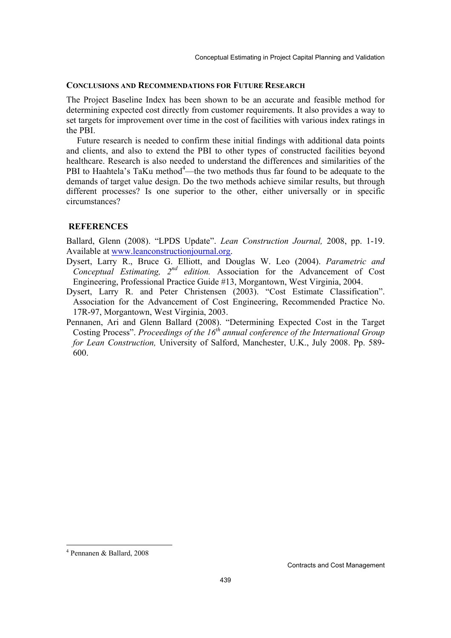#### **CONCLUSIONS AND RECOMMENDATIONS FOR FUTURE RESEARCH**

The Project Baseline Index has been shown to be an accurate and feasible method for determining expected cost directly from customer requirements. It also provides a way to set targets for improvement over time in the cost of facilities with various index ratings in the PBI.

Future research is needed to confirm these initial findings with additional data points and clients, and also to extend the PBI to other types of constructed facilities beyond healthcare. Research is also needed to understand the differences and similarities of the PBI to Haahtela's TaKu method $4$ —the two methods thus far found to be adequate to the demands of target value design. Do the two methods achieve similar results, but through different processes? Is one superior to the other, either universally or in specific circumstances?

#### **REFERENCES**

Ballard, Glenn (2008). "LPDS Update". *Lean Construction Journal,* 2008, pp. 1-19. Available at www.leanconstructionjournal.org.

- Dysert, Larry R., Bruce G. Elliott, and Douglas W. Leo (2004). *Parametric and Conceptual Estimating, 2nd edition.* Association for the Advancement of Cost Engineering, Professional Practice Guide #13, Morgantown, West Virginia, 2004.
- Dysert, Larry R. and Peter Christensen (2003). "Cost Estimate Classification". Association for the Advancement of Cost Engineering, Recommended Practice No. 17R-97, Morgantown, West Virginia, 2003.
- Pennanen, Ari and Glenn Ballard (2008). "Determining Expected Cost in the Target Costing Process". *Proceedings of the 16th annual conference of the International Group for Lean Construction,* University of Salford, Manchester, U.K., July 2008. Pp. 589- 600.

 $\overline{a}$ 

<sup>4</sup> Pennanen & Ballard, 2008